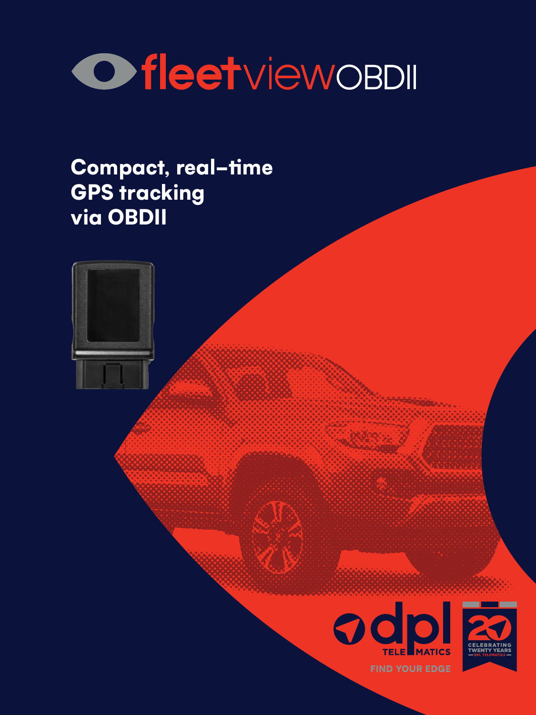# OfleetviewoBDII

## Compact, real-time GPS tracking via OBDII